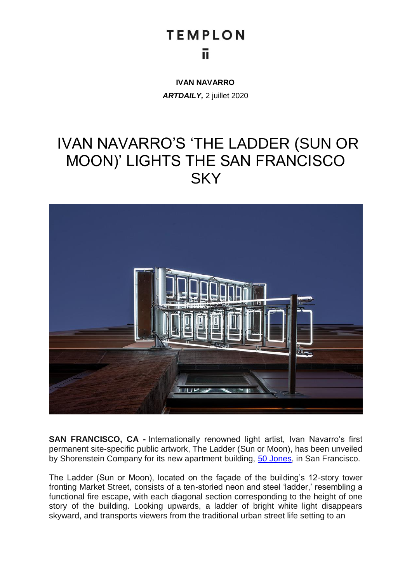### **TEMPLON** ū

**IVAN NAVARRO** *ARTDAILY,* 2 juillet 2020

# IVAN NAVARRO'S 'THE LADDER (SUN OR MOON)' LIGHTS THE SAN FRANCISCO **SKY**



**SAN FRANCISCO, CA -** Internationally renowned light artist, Ivan Navarro's first permanent site-specific public artwork, The Ladder (Sun or Moon), has been unveiled by Shorenstein Company for its new apartment building, [50 Jones,](https://50jones.com/) in San Francisco.

The Ladder (Sun or Moon), located on the façade of the building's 12-story tower fronting Market Street, consists of a ten-storied neon and steel 'ladder,' resembling a functional fire escape, with each diagonal section corresponding to the height of one story of the building. Looking upwards, a ladder of bright white light disappears skyward, and transports viewers from the traditional urban street life setting to an